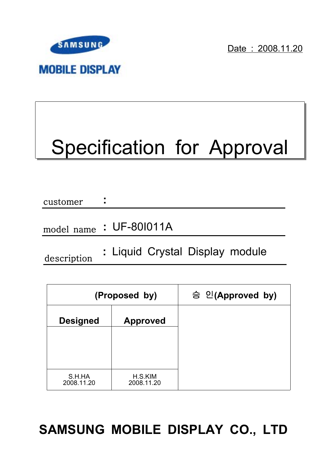

Date: 2008.11.20

# Specification for Approval

| customer | ٠<br>٠                 |
|----------|------------------------|
|          |                        |
|          | model name: UF-801011A |

description

**:** Liquid Crystal Display module

|                      | (Proposed by)         | 승 인(Approved by) |
|----------------------|-----------------------|------------------|
| <b>Designed</b>      | <b>Approved</b>       |                  |
|                      |                       |                  |
|                      |                       |                  |
| S.H.HA<br>2008.11.20 | H.S.KIM<br>2008.11.20 |                  |

## **SAMSUNG MOBILE DISPLAY CO., LTD**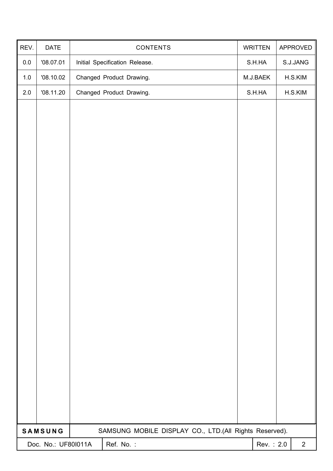| REV.    | DATE                | CONTENTS                                               | <b>WRITTEN</b> | APPROVED       |
|---------|---------------------|--------------------------------------------------------|----------------|----------------|
| $0.0\,$ | '08.07.01           | Initial Specification Release.                         | S.H.HA         | S.J.JANG       |
| $1.0$   | '08.10.02           | Changed Product Drawing.                               | M.J.BAEK       | H.S.KIM        |
| $2.0\,$ | '08.11.20           | Changed Product Drawing.                               | S.H.HA         | H.S.KIM        |
|         |                     |                                                        |                |                |
|         |                     |                                                        |                |                |
|         |                     |                                                        |                |                |
|         |                     |                                                        |                |                |
|         |                     |                                                        |                |                |
|         |                     |                                                        |                |                |
|         |                     |                                                        |                |                |
|         |                     |                                                        |                |                |
|         |                     |                                                        |                |                |
|         |                     |                                                        |                |                |
|         |                     |                                                        |                |                |
|         |                     |                                                        |                |                |
|         |                     |                                                        |                |                |
|         |                     |                                                        |                |                |
|         |                     |                                                        |                |                |
|         |                     |                                                        |                |                |
|         |                     |                                                        |                |                |
|         |                     |                                                        |                |                |
|         |                     |                                                        |                |                |
|         |                     |                                                        |                |                |
|         |                     |                                                        |                |                |
|         | SAMSUNG             | SAMSUNG MOBILE DISPLAY CO., LTD.(All Rights Reserved). |                |                |
|         | Doc. No.: UF801011A | Ref. No.:                                              | Rev.: 2.0      | $\overline{2}$ |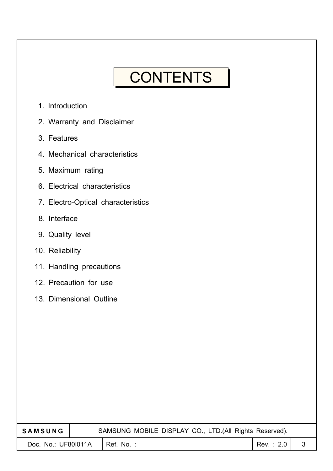## **CONTENTS**

- 1. Introduction
- 2. Warranty and Disclaimer
- 3. Features
- 4. Mechanical characteristics
- 5. Maximum rating
- 6. Electrical characteristics
- 7. Electro-Optical characteristics
- 8. Interface
- 9. Quality level
- 10. Reliability
- 11. Handling precautions
- 12. Precaution for use
- 13. Dimensional Outline

| <b>SAMSUNG</b>      | SAMSUNG MOBILE DISPLAY CO., LTD.(All Rights Reserved). |            |  |
|---------------------|--------------------------------------------------------|------------|--|
| Doc. No.: UF801011A | $l$ Ref. No. :                                         | Rev. : 2.0 |  |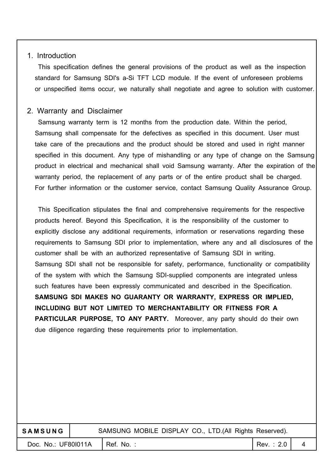#### 1. Introduction

This specification defines the general provisions of the product as well as the inspection standard for Samsung SDI's a-Si TFT LCD module. If the event of unforeseen problems or unspecified items occur, we naturally shall negotiate and agree to solution with customer.

#### 2. Warranty and Disclaimer

Samsung warranty term is 12 months from the production date. Within the period, Samsung shall compensate for the defectives as specified in this document. User must take care of the precautions and the product should be stored and used in right manner specified in this document. Any type of mishandling or any type of change on the Samsung product in electrical and mechanical shall void Samsung warranty. After the expiration of the warranty period, the replacement of any parts or of the entire product shall be charged. For further information or the customer service, contact Samsung Quality Assurance Group.

This Specification stipulates the final and comprehensive requirements for the respective products hereof. Beyond this Specification, it is the responsibility of the customer to explicitly disclose any additional requirements, information or reservations regarding these requirements to Samsung SDI prior to implementation, where any and all disclosures of the customer shall be with an authorized representative of Samsung SDI in writing. Samsung SDI shall not be responsible for safety, performance, functionality or compatibility of the system with which the Samsung SDI-supplied components are integrated unless such features have been expressly communicated and described in the Specification. **SAMSUNG SDI MAKES NO GUARANTY OR WARRANTY, EXPRESS OR IMPLIED, INCLUDING BUT NOT LIMITED TO MERCHANTABILITY OR FITNESS FOR A PARTICULAR PURPOSE, TO ANY PARTY.** Moreover, any party should do their own due diligence regarding these requirements prior to implementation.

| <b>SAMSUNG</b>      | SAMSUNG MOBILE DISPLAY CO., LTD. (All Rights Reserved). |           |  |
|---------------------|---------------------------------------------------------|-----------|--|
| Doc. No.: UF801011A | $\blacksquare$ Ref. No.:                                | Rev.: 2.0 |  |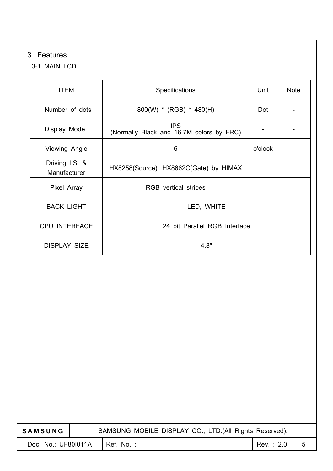### 3. Features

#### 3-1 MAIN LCD

| <b>ITEM</b>                   | Specifications                                         | Unit    | <b>Note</b> |
|-------------------------------|--------------------------------------------------------|---------|-------------|
| Number of dots                | $800(W)$ * (RGB) * 480(H)                              | Dot     |             |
| Display Mode                  | <b>IPS</b><br>(Normally Black and 16.7M colors by FRC) |         |             |
| Viewing Angle                 | 6                                                      | o'clock |             |
| Driving LSI &<br>Manufacturer | HX8258(Source), HX8662C(Gate) by HIMAX                 |         |             |
| Pixel Array                   | RGB vertical stripes                                   |         |             |
| <b>BACK LIGHT</b>             | LED, WHITE                                             |         |             |
| <b>CPU INTERFACE</b>          | 24 bit Parallel RGB Interface                          |         |             |
| <b>DISPLAY SIZE</b>           | 4.3"                                                   |         |             |

| <b>SAMSUNG</b>      |  | SAMSUNG MOBILE DISPLAY CO., LTD. (All Rights Reserved). |           |   |  |
|---------------------|--|---------------------------------------------------------|-----------|---|--|
| Doc. No.: UF801011A |  | Ref. No.:                                               | Rev.: 2.0 | 5 |  |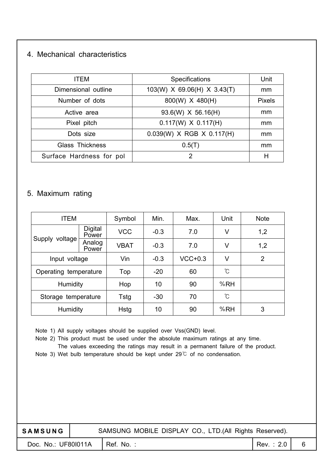#### 4. Mechanical characteristics

| <b>ITEM</b>              | <b>Specifications</b>       | Unit          |
|--------------------------|-----------------------------|---------------|
| Dimensional outline      | 103(W) X 69.06(H) X 3.43(T) | mm            |
| Number of dots           | 800(W) X 480(H)             | <b>Pixels</b> |
| Active area              | 93.6(W) X 56.16(H)          | mm            |
| Pixel pitch              | $0.117(W) \times 0.117(H)$  | mm            |
| Dots size                | $0.039(W)$ X RGB X 0.117(H) | mm            |
| <b>Glass Thickness</b>   | 0.5(T)                      | mm            |
| Surface Hardness for pol | 2                           | Н             |

#### 5. Maximum rating

| <b>ITEM</b>           |                  | Symbol      | Min.   | Max.      | Unit | <b>Note</b>    |
|-----------------------|------------------|-------------|--------|-----------|------|----------------|
| Supply voltage        | Digital<br>Power | <b>VCC</b>  | $-0.3$ | 7.0       | V    | 1,2            |
|                       | Analog<br>Power  | <b>VBAT</b> | $-0.3$ | 7.0       | V    | 1,2            |
| Input voltage         |                  | Vin         | $-0.3$ | $VCC+0.3$ | V    | $\overline{2}$ |
| Operating temperature |                  | Top         | $-20$  | 60        | °C   |                |
| Humidity              |                  | Hop         | 10     | 90        | %RH  |                |
| Storage temperature   |                  | Tstg        | $-30$  | 70        | °C   |                |
| Humidity              |                  | <b>Hstg</b> | 10     | 90        | %RH  | 3              |

Note 1) All supply voltages should be supplied over Vss(GND) level.

Note 2) This product must be used under the absolute maximum ratings at any time.

The values exceeding the ratings may result in a permanent failure of the product.

Note 3) Wet bulb temperature should be kept under  $29^{\circ}$  of no condensation.

| <b>SAMSUNG</b>      | SAMSUNG MOBILE DISPLAY CO., LTD. (All Rights Reserved). |           |  |
|---------------------|---------------------------------------------------------|-----------|--|
| Doc. No.: UF801011A | I Ref. No. :                                            | Rev.: 2.0 |  |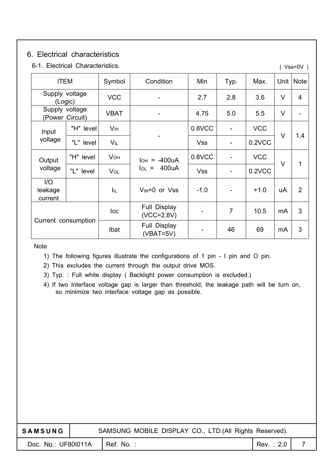#### 6. Electrical characteristics

| 6-1. Electrical Characteristics.<br>$(Vss=0V)$ |           |                 |                              |            |                |            |        |                |
|------------------------------------------------|-----------|-----------------|------------------------------|------------|----------------|------------|--------|----------------|
| <b>ITEM</b>                                    |           | Symbol          | Condition                    | Min        | Typ.           | Max.       | Unit   | <b>Note</b>    |
| Supply voltage<br>(Logic)                      |           | <b>VCC</b>      | $\qquad \qquad -$            | 2.7        | 2.8            | 3.6        | V      | 4              |
| Supply voltage<br>(Power Circuit)              |           | <b>VBAT</b>     |                              | 4.75       | 5.0            | 5.5        | V      |                |
| Input                                          | "H" level | V <sub>IH</sub> |                              | 0.8VCC     |                | <b>VCC</b> | $\vee$ | 1,4            |
| voltage                                        | "L" level | <b>VIL</b>      |                              | <b>Vss</b> |                | 0.2VCC     |        |                |
| Output                                         | "H" level | <b>VOH</b>      | -400uA<br>Іон<br>$\equiv$    | 0.8VCC     |                | <b>VCC</b> | $\vee$ |                |
| voltage                                        | "L" level | VOL             | 400uA<br>$I_{OL}$ =          | <b>Vss</b> |                | 0.2VCC     |        | 1              |
| I/O<br>leakage<br>current                      |           | Īщ              | $V_{IN}=0$ or $Vss$          | $-1.0$     |                | $+1.0$     | uA     | $\overline{2}$ |
|                                                |           | Icc             | Full Display<br>$(VCC=2.8V)$ |            | $\overline{7}$ | 10.5       | mA     | 3              |
| Current consumption                            |           | Ibat            | Full Display<br>$(VBAT=5V)$  |            | 46             | 69         | mA     | 3              |

Note

1) The following figures illustrate the configurations of 1 pin - I pin and O pin.

2) This excludes the current through the output drive MOS.

3) Typ. : Full white display ( Backlight power consumption is excluded.)

4) If two Interface voltage gap is larger than threshold, the leakage path will be turn on, so minimize two interface voltage gap as possible.

| <b>SAMSUNG</b>      |  | SAMSUNG MOBILE DISPLAY CO., LTD.(All Rights Reserved). |           |   |
|---------------------|--|--------------------------------------------------------|-----------|---|
| Doc. No.: UF801011A |  | Ref. No.:                                              | Rev.: 2.0 | 7 |
|                     |  |                                                        |           |   |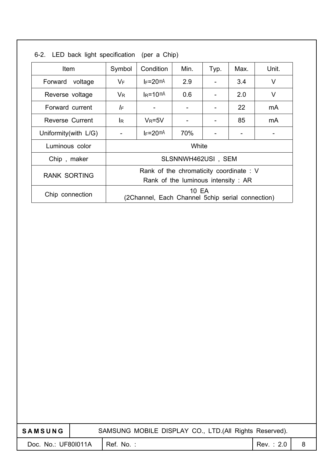| <b>Item</b>            | Symbol                             | Condition                                                 | Min.               | Typ. | Max. | Unit. |  |  |
|------------------------|------------------------------------|-----------------------------------------------------------|--------------------|------|------|-------|--|--|
| Forward<br>voltage     | $V_{\mathsf{F}}$                   | $IF = 20mA$                                               | 2.9                |      | 3.4  | V     |  |  |
| Reverse voltage        | $V_{R}$                            | $I_R = 10mA$                                              | 0.6                |      | 2.0  | V     |  |  |
| Forward current        | IF                                 |                                                           |                    |      | 22   | mA    |  |  |
| <b>Reverse Current</b> | lR.                                | $V_R = 5V$                                                |                    |      | 85   | mA    |  |  |
| Uniformity(with L/G)   |                                    | $I_F = 20$ mA                                             | 70%                |      |      |       |  |  |
| Luminous color         |                                    | White                                                     |                    |      |      |       |  |  |
| Chip, maker            |                                    |                                                           | SLSNNWH462USI, SEM |      |      |       |  |  |
|                        |                                    | Rank of the chromaticity coordinate: V                    |                    |      |      |       |  |  |
| <b>RANK SORTING</b>    | Rank of the luminous intensity: AR |                                                           |                    |      |      |       |  |  |
| Chip connection        |                                    | 10 EA<br>(2Channel, Each Channel 5chip serial connection) |                    |      |      |       |  |  |

6-2. LED back light specification (per a Chip)

| <b>SAMSUNG</b>      | SAMSUNG MOBILE DISPLAY CO., LTD.(All Rights Reserved). |           |  |  |  |
|---------------------|--------------------------------------------------------|-----------|--|--|--|
| Doc. No.: UF801011A | Ref. No.:                                              | Rev.: 2.0 |  |  |  |
|                     |                                                        |           |  |  |  |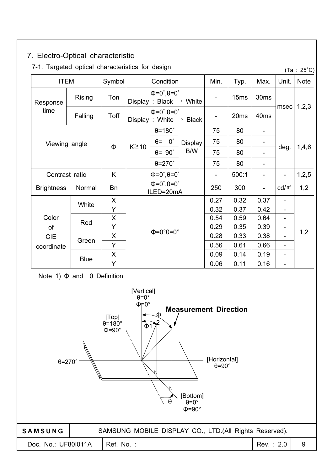| 7. Electro-Optical characteristic                |         |             |                         |                                                                          |         |                          |                  |                          |                          |                          |
|--------------------------------------------------|---------|-------------|-------------------------|--------------------------------------------------------------------------|---------|--------------------------|------------------|--------------------------|--------------------------|--------------------------|
| 7-1. Targeted optical characteristics for design |         |             |                         |                                                                          |         |                          |                  |                          |                          | $(Ta : 25^{\circ}C)$     |
| <b>ITEM</b>                                      |         | Symbol      |                         | Condition                                                                |         | Min.                     | Typ.             | Max.                     | Unit.                    | <b>Note</b>              |
| Response                                         | Rising  | Ton         |                         | $\Phi = 0^\circ, \theta = 0^\circ$<br>Display: Black $\rightarrow$ White |         | $\overline{\phantom{a}}$ | 15 <sub>ms</sub> | 30 <sub>ms</sub>         |                          |                          |
| time                                             | Falling | Toff        |                         | $\Phi = 0^\circ, \theta = 0^\circ$<br>Display: White $\rightarrow$ Black |         | $\overline{\phantom{0}}$ | 20 <sub>ms</sub> | 40 <sub>ms</sub>         | msec                     | 1,2,3                    |
|                                                  |         |             |                         | $\theta$ =180 $\degree$                                                  | Display | 75                       | 80               | $\overline{\phantom{a}}$ |                          |                          |
| Viewing angle                                    |         |             |                         | $0^{\circ}$<br>$\theta$ =                                                |         | 75                       | 80               | $\overline{\phantom{a}}$ |                          |                          |
|                                                  | Φ       | $K \geq 10$ | $\theta$ = 90 $\degree$ | B/W                                                                      | 75      | 80                       |                  | deg.                     | 1,4,6                    |                          |
|                                                  |         |             |                         | $\theta = 270^\circ$                                                     |         | 75                       | 80               |                          |                          | $\overline{\phantom{0}}$ |
| Contrast ratio                                   |         | K           |                         | $\Phi = 0^\circ, \theta = 0^\circ$                                       |         | $\overline{\phantom{0}}$ | 500:1            | $\overline{\phantom{a}}$ |                          | 1,2,5                    |
| <b>Brightness</b>                                | Normal  | <b>Bn</b>   |                         | $\overline{\Phi}$ =0°, $\theta$ =0°<br>ILED=20mA                         |         | 250                      | 300              |                          | $\text{cd/m}^2$          | 1,2                      |
|                                                  | White   | X           |                         |                                                                          |         | 0.27                     | 0.32             | 0.37                     |                          |                          |
|                                                  |         | Y           |                         |                                                                          |         | 0.32                     | 0.37             | 0.42                     |                          |                          |
| Color                                            | Red     | X           |                         |                                                                          |         | 0.54                     | 0.59             | 0.64                     | $\qquad \qquad$          |                          |
| of                                               |         | Y           |                         |                                                                          |         | 0.29                     | 0.35             | 0.39                     | $\overline{\phantom{0}}$ |                          |
| <b>CIE</b>                                       | Green   | X           |                         | $\Phi = 0^\circ \theta = 0^\circ$                                        |         | 0.28                     | 0.33             | 0.38                     | $\overline{\phantom{0}}$ | 1,2                      |
| coordinate                                       |         | Y           |                         |                                                                          |         | 0.56                     | 0.61             | 0.66                     | $\blacksquare$           |                          |
|                                                  |         | X           |                         |                                                                          |         | 0.09                     | 0.14             | 0.19                     | $\blacksquare$           |                          |
| <b>Blue</b>                                      |         | Y           |                         |                                                                          |         | 0.06                     | 0.11             | 0.16                     | $\blacksquare$           |                          |

Note 1)  $\Phi$  and  $\theta$  Definition

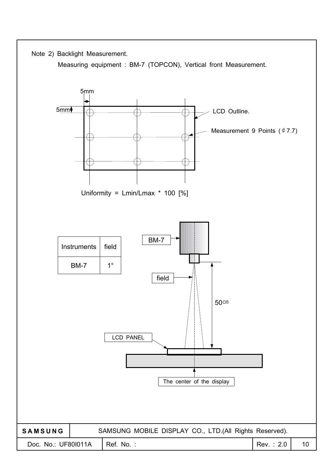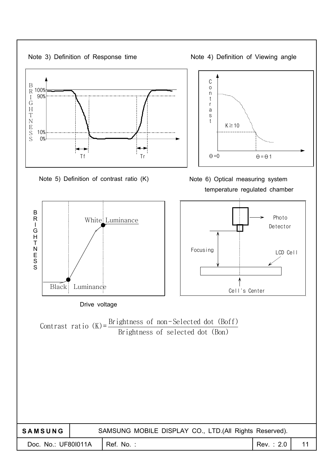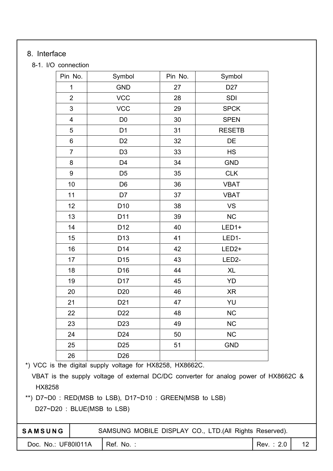#### 8. Interface

#### 8-1. I/O connection

| Pin No.                 | Symbol          | Pin No. | Symbol             |
|-------------------------|-----------------|---------|--------------------|
| 1                       | <b>GND</b>      | 27      | D <sub>27</sub>    |
| $\overline{2}$          | <b>VCC</b>      | 28      | SDI                |
| $\mathfrak{S}$          | <b>VCC</b>      | 29      | <b>SPCK</b>        |
| $\overline{\mathbf{4}}$ | D <sub>0</sub>  | 30      | <b>SPEN</b>        |
| 5                       | D <sub>1</sub>  | 31      | <b>RESETB</b>      |
| 6                       | D <sub>2</sub>  | 32      | DE                 |
| $\overline{7}$          | D <sub>3</sub>  | 33      | <b>HS</b>          |
| 8                       | D <sub>4</sub>  | 34      | <b>GND</b>         |
| 9                       | D <sub>5</sub>  | 35      | <b>CLK</b>         |
| 10                      | D <sub>6</sub>  | 36      | <b>VBAT</b>        |
| 11                      | D7              | 37      | <b>VBAT</b>        |
| 12                      | D <sub>10</sub> | 38      | VS                 |
| 13                      | D11             | 39      | NC                 |
| 14                      | D12             | 40      | LED1+              |
| 15                      | D <sub>13</sub> | 41      | LED1-              |
| 16                      | D14             | 42      | LED <sub>2+</sub>  |
| 17                      | D <sub>15</sub> | 43      | LED <sub>2</sub> - |
| 18                      | D16             | 44      | <b>XL</b>          |
| 19                      | D17             | 45      | YD                 |
| 20                      | D <sub>20</sub> | 46      | <b>XR</b>          |
| 21                      | D <sub>21</sub> | 47      | YU                 |
| 22                      | D <sub>22</sub> | 48      | <b>NC</b>          |
| 23                      | D <sub>23</sub> | 49      | <b>NC</b>          |
| 24                      | D <sub>24</sub> | 50      | <b>NC</b>          |
| 25                      | D <sub>25</sub> | 51      | <b>GND</b>         |
| 26                      | D <sub>26</sub> |         |                    |

\*) VCC is the digital supply voltage for HX8258, HX8662C.

VBAT is the supply voltage of external DC/DC converter for analog power of HX8662C & HX8258

SAMSUNG MOBILE DISPLAY CO., LTD.(All Rights Reserved).

\*\*) D7~D0 : RED(MSB to LSB), D17~D10 : GREEN(MSB to LSB)

D27~D20: BLUE(MSB to LSB)

| <b>SAMSUNG</b> |
|----------------|
|----------------|

Doc. No.: UF80I011A Ref. No. : Rev. : 2.0 12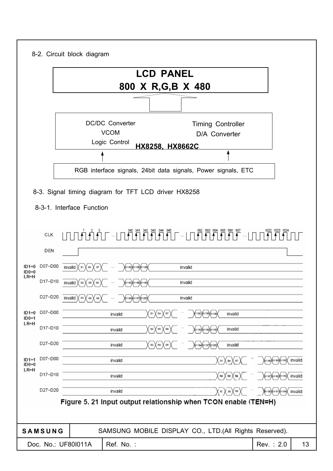|                               | 8-2. Circuit block diagram                           |                                                        |                                       |                                                                                                                                                                                                                                                                                                                                                                                                                                                                                             |                  |                           |         |
|-------------------------------|------------------------------------------------------|--------------------------------------------------------|---------------------------------------|---------------------------------------------------------------------------------------------------------------------------------------------------------------------------------------------------------------------------------------------------------------------------------------------------------------------------------------------------------------------------------------------------------------------------------------------------------------------------------------------|------------------|---------------------------|---------|
|                               |                                                      |                                                        | <b>LCD PANEL</b><br>800 X R,G,B X 480 |                                                                                                                                                                                                                                                                                                                                                                                                                                                                                             |                  |                           |         |
|                               |                                                      |                                                        |                                       |                                                                                                                                                                                                                                                                                                                                                                                                                                                                                             |                  |                           |         |
|                               |                                                      | <b>DC/DC Converter</b><br><b>VCOM</b><br>Logic Control | HX8258, HX8662C                       | <b>Timing Controller</b><br>D/A Converter                                                                                                                                                                                                                                                                                                                                                                                                                                                   |                  |                           |         |
|                               |                                                      |                                                        |                                       |                                                                                                                                                                                                                                                                                                                                                                                                                                                                                             |                  |                           |         |
|                               |                                                      |                                                        |                                       | RGB interface signals, 24bit data signals, Power signals, ETC                                                                                                                                                                                                                                                                                                                                                                                                                               |                  |                           |         |
|                               |                                                      |                                                        |                                       |                                                                                                                                                                                                                                                                                                                                                                                                                                                                                             |                  |                           |         |
|                               | 8-3. Signal timing diagram for TFT LCD driver HX8258 |                                                        |                                       |                                                                                                                                                                                                                                                                                                                                                                                                                                                                                             |                  |                           |         |
|                               | 8-3-1. Interface Function                            |                                                        |                                       |                                                                                                                                                                                                                                                                                                                                                                                                                                                                                             |                  |                           |         |
| CLK<br>DEN                    |                                                      |                                                        |                                       | $\begin{array}{c} \begin{array}{c} \text{1.11}\end{array} \begin{array}{c} \begin{array}{c} \text{1.11}\end{array} \begin{array}{c} \text{2.13}\end{array} \begin{array}{c} \text{3.14}\end{array} \begin{array}{c} \begin{array}{c} \text{3.14}\end{array} \begin{array}{c} \text{3.15}\end{array} \begin{array}{c} \text{3.15}\end{array} \begin{array}{c} \text{3.15}\end{array} \begin{array}{c} \text{3.15}\end{array} \begin{array}{c} \text{3.15}\end{array} \begin{array}{c} \text$ |                  |                           |         |
| D07~D00<br>II)1=0<br>$ID0=0$  | invalid $X$ $s_1$<br>χs≄<br>87                       |                                                        |                                       | invalid                                                                                                                                                                                                                                                                                                                                                                                                                                                                                     |                  |                           |         |
| $LR=H$<br>D17~D10             | invalid<br>82                                        |                                                        |                                       | invalid                                                                                                                                                                                                                                                                                                                                                                                                                                                                                     |                  |                           |         |
| D27~D20                       | invalid $\chi$ ss $\chi$ ss $\chi$ ss                |                                                        |                                       | invalid                                                                                                                                                                                                                                                                                                                                                                                                                                                                                     |                  |                           |         |
| D07~D00<br>$ID1=0$<br>$ID0=1$ |                                                      | invalid                                                | (sı)(s4)(s7)(                         | ) 61192) (S1195) (S1198                                                                                                                                                                                                                                                                                                                                                                                                                                                                     | invalid          |                           |         |
| $LR=H$<br>D17~D10             |                                                      | invalid                                                | $s_2 \chi s_5$<br>$^{88}$             | (31193) (31196) (31199)                                                                                                                                                                                                                                                                                                                                                                                                                                                                     | invalid          |                           |         |
| D27~D20                       |                                                      | invalid                                                | sa X ss X ss                          | ХэттэчХэттэгХэтгаа)                                                                                                                                                                                                                                                                                                                                                                                                                                                                         | invalid          |                           |         |
| D07~D00<br>$ID1=1$<br>$ID0=0$ |                                                      | invalid                                                |                                       |                                                                                                                                                                                                                                                                                                                                                                                                                                                                                             | XsıXs≈Xsr)       | Xs1186XS1189XS1192X       | invalid |
| LR=H<br>D17~D10               |                                                      | invalid                                                |                                       |                                                                                                                                                                                                                                                                                                                                                                                                                                                                                             | X≋X ∉sX sa )     | (S1187) \$1190) \$1193)   | invalid |
| D27~D20                       |                                                      | invalid                                                |                                       |                                                                                                                                                                                                                                                                                                                                                                                                                                                                                             | X s: X s6 X s9 ) | ∦sнвз)(sпs)(sпs4)(invalid |         |
|                               |                                                      |                                                        |                                       | Figure 5. 21 Input output relationship when TCON enable (TEN=H)                                                                                                                                                                                                                                                                                                                                                                                                                             |                  |                           |         |
| SAMSUNG                       |                                                      |                                                        |                                       | SAMSUNG MOBILE DISPLAY CO., LTD.(All Rights Reserved).                                                                                                                                                                                                                                                                                                                                                                                                                                      |                  |                           |         |
|                               | Doc. No.: UF801011A                                  | Ref. No.:                                              |                                       |                                                                                                                                                                                                                                                                                                                                                                                                                                                                                             |                  | Rev.: 2.0                 | 13      |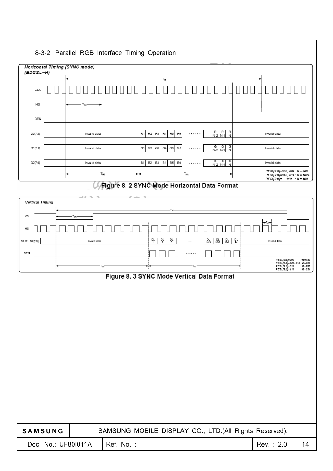|                                              |              | 8-3-2. Parallel RGB Interface Timing Operation                      |                                                                       |     |                                    |   |                                                          |                                                        |
|----------------------------------------------|--------------|---------------------------------------------------------------------|-----------------------------------------------------------------------|-----|------------------------------------|---|----------------------------------------------------------|--------------------------------------------------------|
| Horizontal Timing (SYNC mode)<br>$(EDGSL=H)$ |              |                                                                     |                                                                       |     |                                    |   |                                                          |                                                        |
| <b>CLK</b>                                   |              |                                                                     |                                                                       |     |                                    |   |                                                          |                                                        |
| HS                                           | Twit         |                                                                     |                                                                       |     |                                    |   |                                                          |                                                        |
| DEN                                          |              |                                                                     |                                                                       |     |                                    |   |                                                          |                                                        |
| D0[7:0]                                      | Invalid data | R1                                                                  | R <sub>2</sub><br>R3<br>R <sub>4</sub><br>R5<br>R6                    | .   | R<br>R<br>R<br>$N-2$<br>$N-1$<br>N |   | Invalid data                                             |                                                        |
| D1[7:0]                                      | Invalid data | G1                                                                  | G <sub>2</sub><br>G3<br>G4<br>G5<br>G6                                | .   | G<br>G<br>G<br>$N-2$<br>$N-1$<br>N |   | Invalid data                                             |                                                        |
| D2[7:0]                                      | Invalid data | B1                                                                  | <b>B2</b><br>B <sub>3</sub><br>B <sub>4</sub><br>B <sub>5</sub><br>B6 |     | - B<br>N-2<br>в<br>в<br>$N-1$<br>N |   | Invalid data<br>RESL[2:0]=000, 001: N = 800              |                                                        |
|                                              |              | T <sub>HS</sub><br>Figure 8. 2 SYNC Mode Horizontal Data Format     |                                                                       | Тна |                                    |   | RESL[2:0]=010, 011: N = 1024<br>RESL[2:0]= 110 : N = 400 |                                                        |
|                                              |              |                                                                     |                                                                       |     |                                    |   |                                                          |                                                        |
| <b>Vertical Timing</b>                       |              |                                                                     |                                                                       |     |                                    |   |                                                          |                                                        |
| VS<br>HS                                     | l www        |                                                                     |                                                                       |     |                                    |   |                                                          |                                                        |
| DO, D1, D2[7:0]                              | Invalid data |                                                                     | 익<br>$\frac{DL}{2}$<br>망                                              |     | DL<br>M-3<br>$M-2$<br>$M-1$        | 앖 | Invalid data                                             |                                                        |
| DEN                                          |              |                                                                     |                                                                       |     |                                    |   | RESL[2:0]=000                                            | : $M = 480$                                            |
|                                              |              | Tw                                                                  |                                                                       |     |                                    |   | RESL[2:0]=011<br>RESL[2:0]=111                           | RESL[2:0]=001, 010: M=600<br>: $M = 768$<br>$:M = 234$ |
|                                              |              | Figure 8. 3 SYNC Mode Vertical Data Format                          |                                                                       |     |                                    |   |                                                          |                                                        |
|                                              |              |                                                                     |                                                                       |     |                                    |   |                                                          |                                                        |
|                                              |              |                                                                     |                                                                       |     |                                    |   |                                                          |                                                        |
| SAMSUNG<br>Doc. No.: UF801011A               |              | SAMSUNG MOBILE DISPLAY CO., LTD.(All Rights Reserved).<br>Ref. No.: |                                                                       |     |                                    |   | Rev.: 2.0                                                | 14                                                     |
|                                              |              |                                                                     |                                                                       |     |                                    |   |                                                          |                                                        |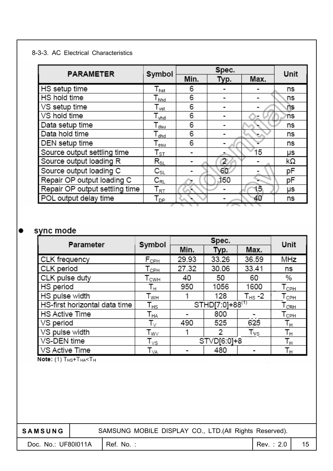#### 8-3-3. AC Electrical Characteristics

| <b>PARAMETER</b>               | Symbol                      |      | Spec. |      | Unit |
|--------------------------------|-----------------------------|------|-------|------|------|
|                                |                             | Min. | Typ.  | Max. |      |
| HS setup time                  | $T_{\mathsf{hst}}$          | 6    |       |      | ns   |
| HS hold time                   | $I_{\text{hhd}}$            | 6    |       |      | ns   |
| VS setup time                  | $\mathsf{T}_{\mathsf{vst}}$ | 6    |       |      | ns   |
| VS hold time                   | l <sub>vhd</sub>            | 6    |       |      | 'ns  |
| Data setup time                | $\mathsf{T}_{\mathsf{dsu}}$ | 6    |       |      | ns   |
| Data hold time                 | $\mathsf{T}_{\mathsf{dhd}}$ | 6    |       |      | ns   |
| DEN setup time                 | Tesu                        | 6    |       |      | ns   |
| Source output settling time    | $\mathsf{T}_{\texttt{ST}}$  |      |       | 15   | μs   |
| Source output loading R        | $\mathsf{R}_{\textsf{SL}}$  |      | 2     |      | kΩ   |
| Source output loading C        | $\mathtt{C}_{\texttt{SL}}$  |      | 60    |      | рF   |
| Repair OP output loading C     | $\mathtt{C_{RL}}$           |      | 150   |      | pF   |
| Repair OP output settling time | $\mathsf{T}_{\mathsf{RT}}$  |      |       | ,5   | μs   |
| POL output delay time          | Т <sub>рр</sub>             |      |       | 40   | ns   |

### sync mode

| Parameter                     | Symbol                        |       | Spec.                       |                    | Unit                        |
|-------------------------------|-------------------------------|-------|-----------------------------|--------------------|-----------------------------|
|                               |                               | Min.  | Typ.                        | Max.               |                             |
| CLK frequency                 | F <sub>cPH</sub>              | 29.93 | 33.26                       | 36.59              | MHz                         |
| CLK period                    | $\mathsf{T}_{\mathsf{CPH}}$   | 27.32 | 30.06                       | 33.41              | ns                          |
| CLK pulse duty                | <b>T</b> <sub>CWH</sub>       | 40    | 50                          | 60                 | %                           |
| HS period                     | Tн                            | 950   | 1056                        | 1600               | $\mathsf{T}_{\mathsf{CPH}}$ |
| HS pulse width                | T <sub>wн</sub>               |       | 128                         | T <sub>HS</sub> -2 | Тсрн                        |
| HS-first horizontal data time | Т <sub>нs</sub>               |       | STHD[7:0]+88 <sup>(1)</sup> |                    | $L_{CPH}$                   |
| <b>HS Active Time</b>         | $\mathsf{T}_{\mathsf{HA}}$    |       | 800                         |                    | Торн                        |
| VS period                     | $\mathsf{T}_\vee$             | 490   | 525                         | 625                | Тн                          |
| VS pulse width                | $\mathsf{T}_{\mathsf{W}\vee}$ |       | 2                           | Tvs                | Тн                          |
| VS-DEN time                   | $\mathsf{T}_{\mathsf{VS}}$    |       | STVD[6:0]+8                 |                    | Tн                          |
| VS Active Time                | $\mathsf{T}_{\textsf{VA}}$    |       | 480                         |                    | Тн                          |

Note: (1) THS+THA<TH

SAMSUNG | SAMSUNG MOBILE DISPLAY CO., LTD.(All Rights Reserved).

Doc. No.: UF80I011A Ref. No. : Rev. : 2.0 15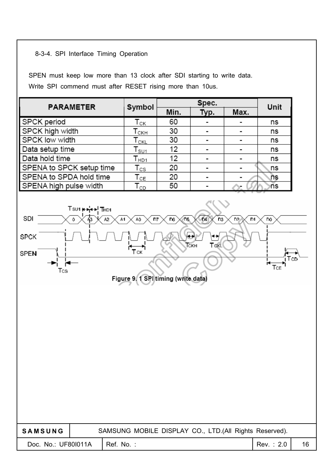#### 8-3-4. SPI Interface Timing Operation

SPEN must keep low more than 13 clock after SDI starting to write data. Write SPI commend must after RESET rising more than 10us.

| <b>PARAMETER</b>         | Symbol                      |      | Unit |      |    |
|--------------------------|-----------------------------|------|------|------|----|
|                          |                             | Min. | Typ. | Max. |    |
| SPCK period              | Тск                         | 60   |      |      | ns |
| SPCK high width          | Тскн                        | 30   |      |      | ns |
| SPCK low width           | $\mathsf{T}_{\mathsf{CKL}}$ | 30   |      |      | ns |
| Data setup time          | $\mathsf{T}_{\mathsf{SU1}}$ | 12   |      |      | ns |
| Data hold time           | $\mathsf{T}_{\mathsf{HD1}}$ | 12   |      |      | ns |
| SPENA to SPCK setup time | $\mathsf{T}_{\textsf{CS}}$  | 20   |      |      | ns |
| SPENA to SPDA hold time  | $\mathsf{T}_{\texttt{CE}}$  | 20   |      |      | ns |
| SPENA high pulse width   | l cD                        | 50   |      |      | ns |

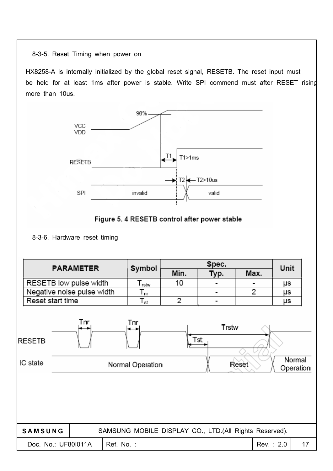8-3-5. Reset Timing when power on

HX8258-A is internally initialized by the global reset signal, RESETB. The reset input must be held for at least 1ms after power is stable. Write SPI commend must after RESET rising more than 10us.





<sup>8-3-6.</sup> Hardware reset timing

| <b>PARAMETER</b>                                                                                            |                                                        |      | Unit |      |           |    |  |
|-------------------------------------------------------------------------------------------------------------|--------------------------------------------------------|------|------|------|-----------|----|--|
|                                                                                                             | Symbol                                                 | Min. | Typ. | Max. |           |    |  |
| RESETB low pulse width                                                                                      | $T_{\text{rstw}}$                                      | 10   |      |      | μs        |    |  |
| Negative noise pulse width                                                                                  | $\mathsf{T}_{\mathsf{nr}}$                             |      |      | 2    | μs        |    |  |
| Reset start time                                                                                            | $\mathsf{T}_{\mathsf{st}}$                             | 2    |      |      | μs        |    |  |
| Tnr<br>Tnr<br>Trstw<br>Tst<br><b>RESETB</b><br>Normal<br>IC state<br>Normal Operation<br>Reset<br>Operation |                                                        |      |      |      |           |    |  |
| SAMSUNG                                                                                                     | SAMSUNG MOBILE DISPLAY CO., LTD.(All Rights Reserved). |      |      |      |           |    |  |
| Doc. No.: UF801011A                                                                                         | Ref. No.:                                              |      |      |      | Rev.: 2.0 | 17 |  |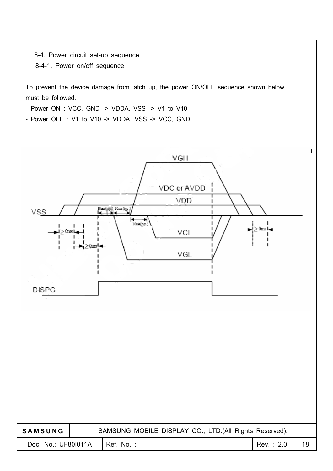8-4. Power circuit set-up sequence

8-4-1. Power on/off sequence

To prevent the device damage from latch up, the power ON/OFF sequence shown below must be followed.

- Power ON : VCC, GND -> VDDA, VSS -> V1 to V10

- Power OFF : V1 to V10 -> VDDA, VSS -> VCC, GND

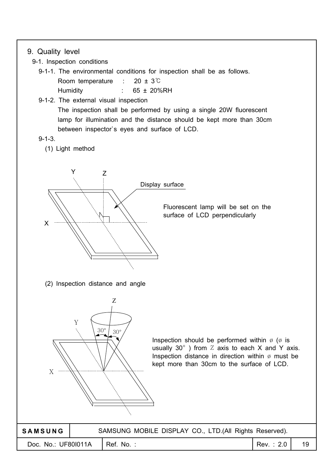#### 9. Quality level

9-1. Inspection conditions

9-1-1. The environmental conditions for inspection shall be as follows. Room temperature :  $20 \pm 3^{\circ}$ Humidity : 65 ± 20%RH

9-1-2. The external visual inspection

The inspection shall be performed by using a single 20W fluorescent lamp for illumination and the distance should be kept more than 30cm between inspector`s eyes and surface of LCD.

#### 9-1-3.

(1) Light method



Fluorescent lamp will be set on the surface of LCD perpendicularly

(2) Inspection distance and angle



Inspection should be performed within  $\emptyset$  ( $\emptyset$  is usually 30 $^{\circ}$ ) from  $Z$  axis to each X and Y axis. Inspection distance in direction within  $\emptyset$  must be kept more than 30cm to the surface of LCD.

| <b>SAMSUNG</b>                   | SAMSUNG MOBILE DISPLAY CO., LTD. (All Rights Reserved). |             |    |
|----------------------------------|---------------------------------------------------------|-------------|----|
| Doc. No.: UF801011A   Ref. No. : |                                                         | Rev.: $2.0$ | 19 |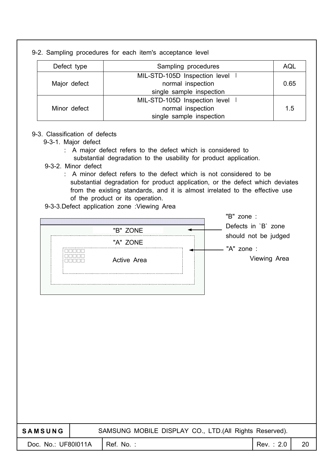|              | 9-2. Sampling procedures for each item's acceptance level |      |
|--------------|-----------------------------------------------------------|------|
| Defect type  | Sampling procedures                                       | AQL  |
|              | MIL-STD-105D Inspection level                             |      |
| Major defect | normal inspection                                         | 0.65 |
|              | single sample inspection                                  |      |
|              | MIL-STD-105D Inspection level                             |      |
| Minor defect | normal inspection                                         | 1.5  |
|              | single sample inspection                                  |      |

#### 9-3. Classification of defects

- 9-3-1. Major defect
	- : A major defect refers to the defect which is considered to substantial degradation to the usability for product application.
- 9-3-2. Minor defect
	- : A minor defect refers to the defect which is not considered to be substantial degradation for product application, or the defect which deviates from the existing standards, and it is almost irrelated to the effective use of the product or its operation.
- 9-3-3.Defect application zone :Viewing Area

| "B" ZONE    | "B" zone:<br>Defects in `B` zone |
|-------------|----------------------------------|
| "A" ZONE    | should not be judged             |
| Active Area | "A" zone :<br>Viewing Area       |
|             |                                  |

| <b>SAMSUNG</b>      |  |                          | SAMSUNG MOBILE DISPLAY CO., LTD.(All Rights Reserved). |           |    |
|---------------------|--|--------------------------|--------------------------------------------------------|-----------|----|
| Doc. No.: UF801011A |  | $\blacksquare$ Ref. No.: |                                                        | Rev.: 2.0 | 20 |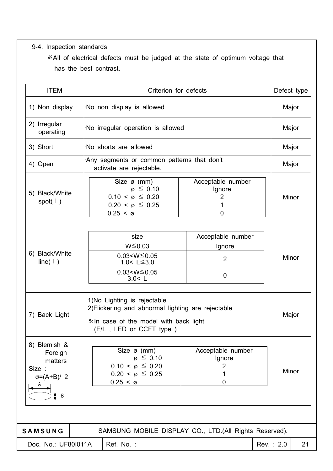9-4. Inspection standards

All of electrical defects must be judged at the state of optimum voltage that has the best contrast.

| <b>ITEM</b>                                                                               |                                                                                                                                                                                                     | Criterion for defects                                                                                                                                                 |                                                         |  |       | Defect type |  |
|-------------------------------------------------------------------------------------------|-----------------------------------------------------------------------------------------------------------------------------------------------------------------------------------------------------|-----------------------------------------------------------------------------------------------------------------------------------------------------------------------|---------------------------------------------------------|--|-------|-------------|--|
| 1) Non display                                                                            |                                                                                                                                                                                                     | No non display is allowed                                                                                                                                             |                                                         |  |       | Major       |  |
| 2) Irregular<br>operating                                                                 |                                                                                                                                                                                                     | No irregular operation is allowed                                                                                                                                     |                                                         |  |       |             |  |
| 3) Short                                                                                  |                                                                                                                                                                                                     | No shorts are allowed                                                                                                                                                 |                                                         |  | Major |             |  |
| 4) Open                                                                                   |                                                                                                                                                                                                     | Any segments or common patterns that don't<br>activate are rejectable.                                                                                                |                                                         |  |       | Major       |  |
| 5) Black/White<br>spot( $\vert$ )                                                         |                                                                                                                                                                                                     | Size ø (mm)<br>Acceptable number<br>$\varnothing \leq 0.10$<br>Ignore<br>$0.10 < \emptyset \leq 0.20$<br>2<br>$0.20 < \emptyset \leq 0.25$<br>$0.25 < \emptyset$<br>0 |                                                         |  |       | Minor       |  |
| 6) Black/White<br>line( $\vert \ \rangle$ )                                               |                                                                                                                                                                                                     | size<br>Acceptable number<br>$W \le 0.03$<br>Ignore<br>$0.03 < W \le 0.05$<br>$\overline{2}$<br>1.0< $L \le 3.0$<br>$0.03 < W \le 0.05$<br>$\mathbf 0$<br>3.0 < L     |                                                         |  |       | Minor       |  |
| 7) Back Light                                                                             | 1) No Lighting is rejectable<br>2) Flickering and abnormal lighting are rejectable<br>*In case of the model with back light<br>(E/L, LED or CCFT type)                                              |                                                                                                                                                                       |                                                         |  |       |             |  |
| 8) Blemish &<br>Foreign<br>matters<br>Size :<br>$\emptyset = (A+B)/2$<br>A<br>$\mathsf B$ | Size $\emptyset$ (mm)<br>Acceptable number<br>$\varnothing \leq 0.10$<br>Ignore<br>$0.10 < \varnothing \leq 0.20$<br>$\overline{2}$<br>$0.20 < \emptyset \leq 0.25$<br>1<br>$0.25 < \emptyset$<br>0 |                                                                                                                                                                       |                                                         |  | Minor |             |  |
|                                                                                           |                                                                                                                                                                                                     |                                                                                                                                                                       |                                                         |  |       |             |  |
| <b>SAMSUNG</b><br>Doc. No.: UF801011A                                                     |                                                                                                                                                                                                     | Ref. No.:                                                                                                                                                             | SAMSUNG MOBILE DISPLAY CO., LTD. (All Rights Reserved). |  |       | 21          |  |
|                                                                                           |                                                                                                                                                                                                     | Rev.: 2.0                                                                                                                                                             |                                                         |  |       |             |  |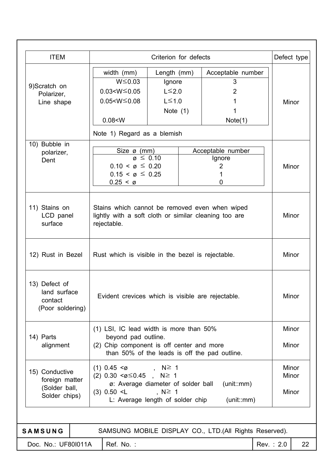| <b>ITEM</b>                                                              |                                                                                                                                            | Criterion for defects                                                                                                                                                                          |                                                               |           | Defect type             |  |
|--------------------------------------------------------------------------|--------------------------------------------------------------------------------------------------------------------------------------------|------------------------------------------------------------------------------------------------------------------------------------------------------------------------------------------------|---------------------------------------------------------------|-----------|-------------------------|--|
| 9)Scratch on<br>Polarizer,<br>Line shape                                 | width (mm)<br>$W \le 0.03$<br>$0.03 < W \le 0.05$<br>$0.05 < W \leq 0.08$<br>0.08 < W<br>Note 1) Regard as a blemish                       | Length (mm)<br>Ignore<br>$L \leq 2.0$<br>$L \leq 1.0$<br>Note $(1)$                                                                                                                            | Acceptable number<br>3<br>$\overline{2}$<br>1<br>1<br>Note(1) |           | Minor                   |  |
| 10) Bubble in<br>polarizer,<br>Dent                                      | Size $\varnothing$ (mm)<br>$\varnothing \leq 0.10$<br>$0.10 < \emptyset \leq 0.20$<br>$0.15 < \varnothing \leq 0.25$<br>$0.25 < \emptyset$ |                                                                                                                                                                                                | Acceptable number<br>Ignore<br>2<br>1<br>0                    |           | Minor                   |  |
| 11) Stains on<br>LCD panel<br>surface                                    | rejectable.                                                                                                                                | Stains which cannot be removed even when wiped<br>lightly with a soft cloth or similar cleaning too are                                                                                        |                                                               |           |                         |  |
| 12) Rust in Bezel                                                        |                                                                                                                                            | Rust which is visible in the bezel is rejectable.                                                                                                                                              |                                                               |           |                         |  |
| 13) Defect of<br>land surface<br>contact<br>(Poor soldering)             |                                                                                                                                            | Evident crevices which is visible are rejectable.                                                                                                                                              |                                                               |           | Minor                   |  |
| 14) Parts<br>alignment                                                   | (1) LSI, IC lead width is more than 50%<br>beyond pad outline.<br>(2) Chip component is off center and more                                | than 50% of the leads is off the pad outline.                                                                                                                                                  |                                                               |           | Minor<br>Minor          |  |
| 15) Conductive<br>foreign matter<br>(Solder ball,<br>Solder chips)       | $(3)$ 0.50 $\leq$ L                                                                                                                        | $(1)$ 0.45 <ø, N ≥ 1<br>$(2)$ 0.30 < $\emptyset$ $\leq$ 0.45, N $\geq$ 1<br>(unit::mm)<br>ø: Average diameter of solder ball<br>$, N \geq 1$<br>L: Average length of solder chip<br>(unit::mm) |                                                               |           | Minor<br>Minor<br>Minor |  |
| SAMSUNG MOBILE DISPLAY CO., LTD.(All Rights Reserved).<br><b>SAMSUNG</b> |                                                                                                                                            |                                                                                                                                                                                                |                                                               |           |                         |  |
| Doc. No.: UF801011A                                                      | Ref. No.:                                                                                                                                  |                                                                                                                                                                                                |                                                               | Rev.: 2.0 | 22                      |  |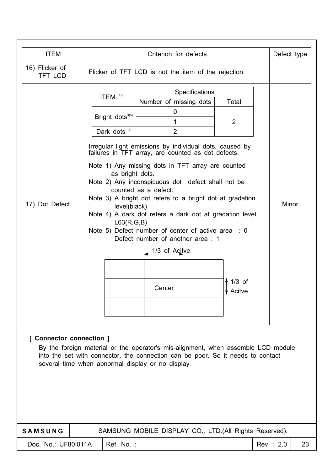| <b>ITEM</b><br>Criterion for defects                                                                                                                                                                                                                  |  |                                                                                                                                                                                                                                                                                                                                                                                                                                                                                                                                                                                           |                                                         |  |  |  |  |  |
|-------------------------------------------------------------------------------------------------------------------------------------------------------------------------------------------------------------------------------------------------------|--|-------------------------------------------------------------------------------------------------------------------------------------------------------------------------------------------------------------------------------------------------------------------------------------------------------------------------------------------------------------------------------------------------------------------------------------------------------------------------------------------------------------------------------------------------------------------------------------------|---------------------------------------------------------|--|--|--|--|--|
| 16) Flicker of<br><b>TFT LCD</b>                                                                                                                                                                                                                      |  | Flicker of TFT LCD is not the item of the rejection.                                                                                                                                                                                                                                                                                                                                                                                                                                                                                                                                      | Defect type                                             |  |  |  |  |  |
| 17) Dot Defect                                                                                                                                                                                                                                        |  | ITEM $122$<br>Bright dots <sup>3)5)</sup><br>Dark dots <sup>4)</sup><br>Irregular light emissions by individual dots, caused by<br>failures in TFT array, are counted as dot defects.<br>Note 1) Any missing dots in TFT array are counted<br>as bright dots.<br>Note 2) Any inconspicuous dot defect shall not be<br>counted as a defect.<br>Note 3) A bright dot refers to a bright dot at gradation<br>level(black)<br>Note 4) A dark dot refers a dark dot at gradation level<br>L63(R,G,B)<br>Note 5) Defect number of center of active area : 0<br>Defect number of another area: 1 | Minor                                                   |  |  |  |  |  |
| [ Connector connection ]<br>By the foreign material or the operator's mis-alignment, when assemble LCD module<br>into the set with connector, the connection can be poor. So it needs to contact<br>several time when abnormal display or no display. |  |                                                                                                                                                                                                                                                                                                                                                                                                                                                                                                                                                                                           |                                                         |  |  |  |  |  |
| SAMSUNG                                                                                                                                                                                                                                               |  |                                                                                                                                                                                                                                                                                                                                                                                                                                                                                                                                                                                           | SAMSUNG MOBILE DISPLAY CO., LTD. (All Rights Reserved). |  |  |  |  |  |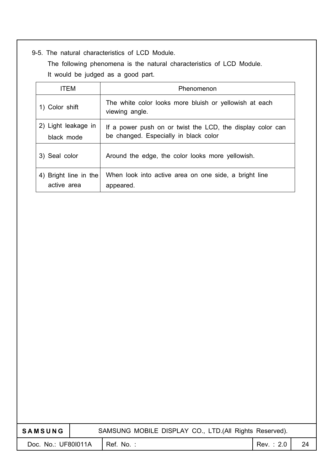#### 9-5. The natural characteristics of LCD Module.

The following phenomena is the natural characteristics of LCD Module. It would be judged as a good part.

| <b>ITEM</b>                          | Phenomenon                                                                                          |
|--------------------------------------|-----------------------------------------------------------------------------------------------------|
| 1) Color shift                       | The white color looks more bluish or yellowish at each<br>viewing angle.                            |
| 2) Light leakage in<br>black mode    | If a power push on or twist the LCD, the display color can<br>be changed. Especially in black color |
| 3) Seal color                        | Around the edge, the color looks more yellowish.                                                    |
| 4) Bright line in the<br>active area | When look into active area on one side, a bright line<br>appeared.                                  |

| <b>SAMSUNG</b>      |  | SAMSUNG MOBILE DISPLAY CO., LTD.(All Rights Reserved). |           |    |
|---------------------|--|--------------------------------------------------------|-----------|----|
| Doc. No.: UF801011A |  | Ref. No.:                                              | Rev.: 2.0 | 24 |
|                     |  |                                                        |           |    |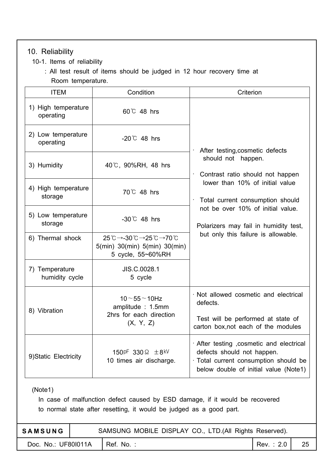#### 10. Reliability

- 10-1. Items of reliability
	- : All test result of items should be judged in 12 hour recovery time at Room temperature.

| <b>ITEM</b>                      | Condition                                                                                                                                                                            | Criterion                                                                                                                                                 |
|----------------------------------|--------------------------------------------------------------------------------------------------------------------------------------------------------------------------------------|-----------------------------------------------------------------------------------------------------------------------------------------------------------|
| 1) High temperature<br>operating | $60^{\circ}$ 48 hrs                                                                                                                                                                  |                                                                                                                                                           |
| 2) Low temperature<br>operating  | $-20^{\circ}$ 48 hrs                                                                                                                                                                 | After testing, cosmetic defects                                                                                                                           |
| 3) Humidity                      | 40℃, 90%RH, 48 hrs                                                                                                                                                                   | should not happen.<br>Contrast ratio should not happen<br>$\bullet$                                                                                       |
| 4) High temperature<br>storage   | $70^{\circ}$ 48 hrs                                                                                                                                                                  | lower than 10% of initial value<br>Total current consumption should<br>$\bullet$                                                                          |
| 5) Low temperature<br>storage    | $-30^{\circ}$ 48 hrs                                                                                                                                                                 | not be over 10% of initial value.<br>Polarizers may fail in humidity test,                                                                                |
| 6) Thermal shock                 | $25^{\circ}\text{C} \rightarrow -30^{\circ}\text{C} \rightarrow 25^{\circ}\text{C} \rightarrow 70^{\circ}\text{C}$<br>$5$ (min) $30$ (min) $5$ (min) $30$ (min)<br>5 cycle, 55~60%RH | but only this failure is allowable.                                                                                                                       |
| 7) Temperature<br>humidity cycle | JIS.C.0028.1<br>5 cycle                                                                                                                                                              |                                                                                                                                                           |
| 8) Vibration                     | $10 - 55 - 10$ Hz<br>amplitude: 1.5mm                                                                                                                                                | · Not allowed cosmetic and electrical<br>defects.                                                                                                         |
|                                  | 2hrs for each direction<br>(X, Y, Z)                                                                                                                                                 | Test will be performed at state of<br>carton box, not each of the modules                                                                                 |
| 9) Static Electricity            | 150pF 330 $\Omega$ $\pm$ 8 kV<br>10 times air discharge.                                                                                                                             | · After testing , cosmetic and electrical<br>defects should not happen.<br>· Total current consumption should be<br>below double of initial value (Note1) |

(Note1)

In case of malfunction defect caused by ESD damage, if it would be recovered to normal state after resetting, it would be judged as a good part.

| <b>SAMSUNG</b>                   | SAMSUNG MOBILE DISPLAY CO., LTD. (All Rights Reserved). |           |    |
|----------------------------------|---------------------------------------------------------|-----------|----|
| Doc. No.: UF801011A   Ref. No. : |                                                         | Rev.: 2.0 | 25 |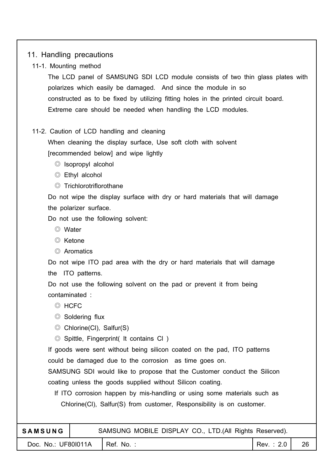#### 11. Handling precautions

11-1. Mounting method

The LCD panel of SAMSUNG SDI LCD module consists of two thin glass plates with polarizes which easily be damaged. And since the module in so constructed as to be fixed by utilizing fitting holes in the printed circuit board. Extreme care should be needed when handling the LCD modules.

#### 11-2. Caution of LCD handling and cleaning

When cleaning the display surface, Use soft cloth with solvent [recommended below] and wipe lightly

- $\circledcirc$  Isopropyl alcohol
- Ethyl alcohol
- $\circledcirc$  Trichlorotriflorothane

Do not wipe the display surface with dry or hard materials that will damage the polarizer surface.

Do not use the following solvent:

- Water
- $\odot$  Ketone
- Aromatics

Do not wipe ITO pad area with the dry or hard materials that will damage the ITO patterns.

Do not use the following solvent on the pad or prevent it from being contaminated :

- © HCFC
- $\circledcirc$  Soldering flux
- Chlorine(Cl), Salfur(S)

Spittle, Fingerprint( It contains Cl )

If goods were sent without being silicon coated on the pad, ITO patterns could be damaged due to the corrosion as time goes on.

SAMSUNG SDI would like to propose that the Customer conduct the Silicon coating unless the goods supplied without Silicon coating.

If ITO corrosion happen by mis-handling or using some materials such as Chlorine(Cl), Salfur(S) from customer, Responsibility is on customer.

| <b>SAMSUNG</b>      | SAMSUNG MOBILE DISPLAY CO., LTD.(All Rights Reserved). |           |    |
|---------------------|--------------------------------------------------------|-----------|----|
| Doc. No.: UF801011A | I Ref. No. :                                           | Rev.: 2.0 | 26 |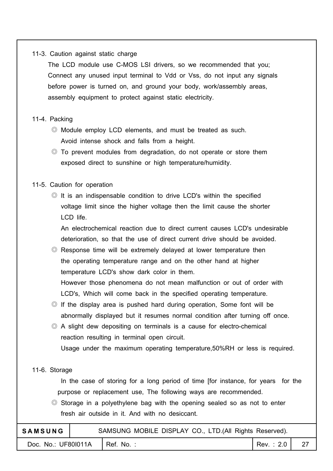#### 11-3. Caution against static charge

The LCD module use C-MOS LSI drivers, so we recommended that you; Connect any unused input terminal to Vdd or Vss, do not input any signals before power is turned on, and ground your body, work/assembly areas, assembly equipment to protect against static electricity.

#### 11-4. Packing

- Module employ LCD elements, and must be treated as such. Avoid intense shock and falls from a height.
- To prevent modules from degradation, do not operate or store them exposed direct to sunshine or high temperature/humidity.

#### 11-5. Caution for operation

 $\odot$  It is an indispensable condition to drive LCD's within the specified voltage limit since the higher voltage then the limit cause the shorter LCD life.

An electrochemical reaction due to direct current causes LCD's undesirable deterioration, so that the use of direct current drive should be avoided.

 Response time will be extremely delayed at lower temperature then the operating temperature range and on the other hand at higher temperature LCD's show dark color in them.

However those phenomena do not mean malfunction or out of order with LCD's, Which will come back in the specified operating temperature.

- $\odot$  If the display area is pushed hard during operation, Some font will be abnormally displayed but it resumes normal condition after turning off once.
- $\odot$  A slight dew depositing on terminals is a cause for electro-chemical reaction resulting in terminal open circuit.

Usage under the maximum operating temperature,50%RH or less is required.

#### 11-6. Storage

In the case of storing for a long period of time [for instance, for years for the purpose or replacement use, The following ways are recommended.

 $\odot$  Storage in a polyethylene bag with the opening sealed so as not to enter fresh air outside in it. And with no desiccant.

| <b>SAMSUNG</b>      |                        |  |  | SAMSUNG MOBILE DISPLAY CO., LTD. (All Rights Reserved). |  |
|---------------------|------------------------|--|--|---------------------------------------------------------|--|
| Doc. No.: UF801011A | $\parallel$ Ref. No. : |  |  | Rec: 2.0                                                |  |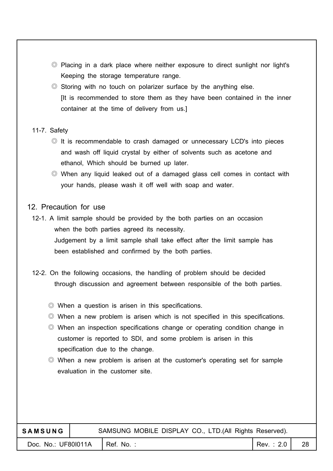- Placing in a dark place where neither exposure to direct sunlight nor light's Keeping the storage temperature range.
- $\circledcirc$  Storing with no touch on polarizer surface by the anything else. [It is recommended to store them as they have been contained in the inner container at the time of delivery from us.]

#### 11-7. Safety

- $\circledcirc$  It is recommendable to crash damaged or unnecessary LCD's into pieces and wash off liquid crystal by either of solvents such as acetone and ethanol, Which should be burned up later.
- When any liquid leaked out of a damaged glass cell comes in contact with your hands, please wash it off well with soap and water.

#### 12. Precaution for use

- 12-1. A limit sample should be provided by the both parties on an occasion when the both parties agreed its necessity. Judgement by a limit sample shall take effect after the limit sample has been established and confirmed by the both parties.
- 12-2. On the following occasions, the handling of problem should be decided through discussion and agreement between responsible of the both parties.
	- When a question is arisen in this specifications.
	- $\odot$  When a new problem is arisen which is not specified in this specifications.
	- When an inspection specifications change or operating condition change in customer is reported to SDI, and some problem is arisen in this specification due to the change.
	- When a new problem is arisen at the customer's operating set for sample evaluation in the customer site.

#### **SAMSUNG** SAMSUNG MOBILE DISPLAY CO., LTD.(All Rights Reserved).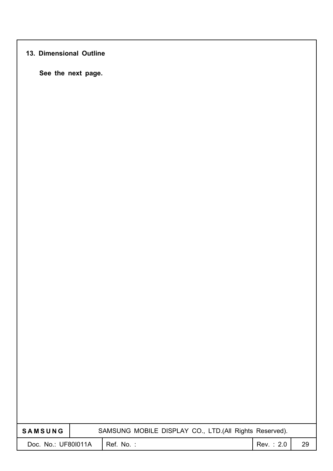#### **13. Dimensional Outline**

**See the next page.**

| <b>SAMSUNG</b>      | SAMSUNG MOBILE DISPLAY CO., LTD.(All Rights Reserved). |           |           |    |
|---------------------|--------------------------------------------------------|-----------|-----------|----|
| Doc. No.: UF801011A |                                                        | Ref. No.: | Rev.: 2.0 | 29 |
|                     |                                                        |           |           |    |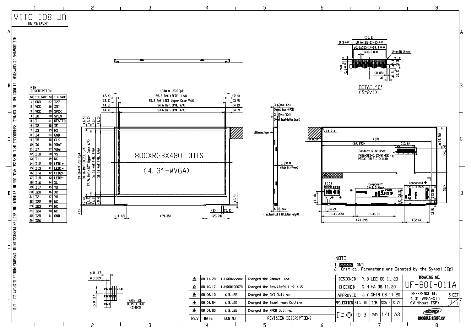